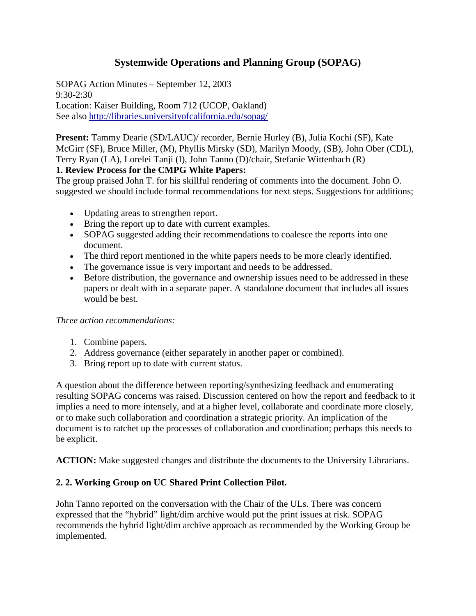# **Systemwide Operations and Planning Group (SOPAG)**

SOPAG Action Minutes – September 12, 2003 9:30-2:30 Location: Kaiser Building, Room 712 (UCOP, Oakland) See also http://libraries.universityofcalifornia.edu/sopag/

**Present:** Tammy Dearie (SD/LAUC)/ recorder, Bernie Hurley (B), Julia Kochi (SF), Kate McGirr (SF), Bruce Miller, (M), Phyllis Mirsky (SD), Marilyn Moody, (SB), John Ober (CDL), Terry Ryan (LA), Lorelei Tanji (I), John Tanno (D)/chair, Stefanie Wittenbach (R)

#### **1. Review Process for the CMPG White Papers:**

The group praised John T. for his skillful rendering of comments into the document. John O. suggested we should include formal recommendations for next steps. Suggestions for additions;

- Updating areas to strengthen report.
- Bring the report up to date with current examples.
- SOPAG suggested adding their recommendations to coalesce the reports into one document.
- The third report mentioned in the white papers needs to be more clearly identified.
- The governance issue is very important and needs to be addressed.
- Before distribution, the governance and ownership issues need to be addressed in these papers or dealt with in a separate paper. A standalone document that includes all issues would be best.

#### *Three action recommendations:*

- 1. Combine papers.
- 2. Address governance (either separately in another paper or combined).
- 3. Bring report up to date with current status.

A question about the difference between reporting/synthesizing feedback and enumerating resulting SOPAG concerns was raised. Discussion centered on how the report and feedback to it implies a need to more intensely, and at a higher level, collaborate and coordinate more closely, or to make such collaboration and coordination a strategic priority. An implication of the document is to ratchet up the processes of collaboration and coordination; perhaps this needs to be explicit.

**ACTION:** Make suggested changes and distribute the documents to the University Librarians.

# **2. 2. Working Group on UC Shared Print Collection Pilot.**

John Tanno reported on the conversation with the Chair of the ULs. There was concern expressed that the "hybrid" light/dim archive would put the print issues at risk. SOPAG recommends the hybrid light/dim archive approach as recommended by the Working Group be implemented.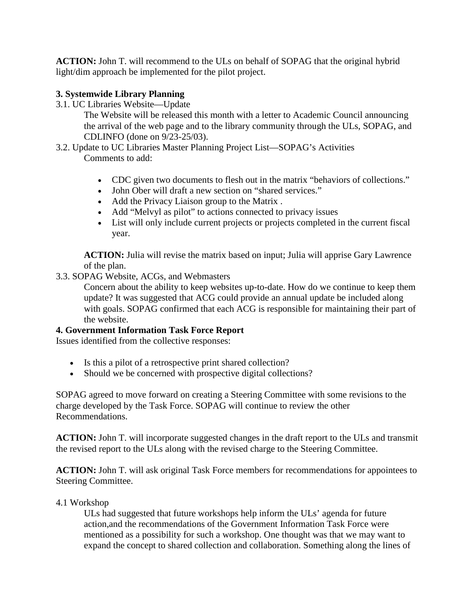**ACTION:** John T. will recommend to the ULs on behalf of SOPAG that the original hybrid light/dim approach be implemented for the pilot project.

# **3. Systemwide Library Planning**

3.1. UC Libraries Website—Update

The Website will be released this month with a letter to Academic Council announcing the arrival of the web page and to the library community through the ULs, SOPAG, and CDLINFO (done on 9/23-25/03).

- 3.2. Update to UC Libraries Master Planning Project List—SOPAG's Activities Comments to add:
	- CDC given two documents to flesh out in the matrix "behaviors of collections."
	- John Ober will draft a new section on "shared services."
	- Add the Privacy Liaison group to the Matrix .
	- Add "Melvyl as pilot" to actions connected to privacy issues
	- List will only include current projects or projects completed in the current fiscal year.

**ACTION:** Julia will revise the matrix based on input; Julia will apprise Gary Lawrence of the plan.

3.3. SOPAG Website, ACGs, and Webmasters

Concern about the ability to keep websites up-to-date. How do we continue to keep them update? It was suggested that ACG could provide an annual update be included along with goals. SOPAG confirmed that each ACG is responsible for maintaining their part of the website.

# **4. Government Information Task Force Report**

Issues identified from the collective responses:

- Is this a pilot of a retrospective print shared collection?
- Should we be concerned with prospective digital collections?

SOPAG agreed to move forward on creating a Steering Committee with some revisions to the charge developed by the Task Force. SOPAG will continue to review the other Recommendations.

**ACTION:** John T. will incorporate suggested changes in the draft report to the ULs and transmit the revised report to the ULs along with the revised charge to the Steering Committee.

**ACTION:** John T. will ask original Task Force members for recommendations for appointees to Steering Committee.

#### 4.1 Workshop

ULs had suggested that future workshops help inform the ULs' agenda for future action,and the recommendations of the Government Information Task Force were mentioned as a possibility for such a workshop. One thought was that we may want to expand the concept to shared collection and collaboration. Something along the lines of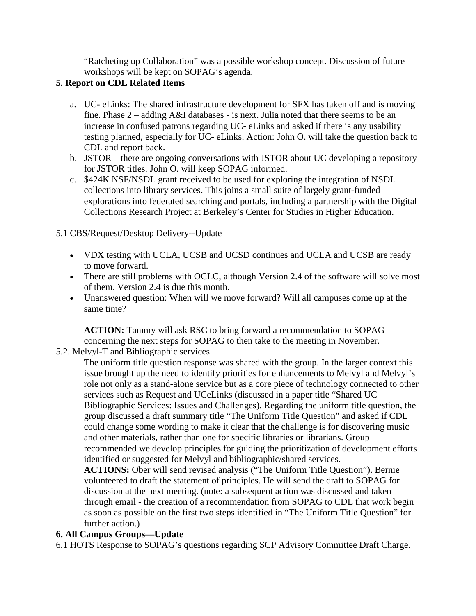"Ratcheting up Collaboration" was a possible workshop concept. Discussion of future workshops will be kept on SOPAG's agenda.

# **5. Report on CDL Related Items**

- a. UC- eLinks: The shared infrastructure development for SFX has taken off and is moving fine. Phase 2 – adding A&I databases - is next. Julia noted that there seems to be an increase in confused patrons regarding UC- eLinks and asked if there is any usability testing planned, especially for UC- eLinks. Action: John O. will take the question back to CDL and report back.
- b. JSTOR there are ongoing conversations with JSTOR about UC developing a repository for JSTOR titles. John O. will keep SOPAG informed.
- c. \$424K NSF/NSDL grant received to be used for exploring the integration of NSDL collections into library services. This joins a small suite of largely grant-funded explorations into federated searching and portals, including a partnership with the Digital Collections Research Project at Berkeley's Center for Studies in Higher Education.

### 5.1 CBS/Request/Desktop Delivery--Update

- VDX testing with UCLA, UCSB and UCSD continues and UCLA and UCSB are ready to move forward.
- There are still problems with OCLC, although Version 2.4 of the software will solve most of them. Version 2.4 is due this month.
- Unanswered question: When will we move forward? Will all campuses come up at the same time?

**ACTION:** Tammy will ask RSC to bring forward a recommendation to SOPAG concerning the next steps for SOPAG to then take to the meeting in November.

# 5.2. Melvyl-T and Bibliographic services

The uniform title question response was shared with the group. In the larger context this issue brought up the need to identify priorities for enhancements to Melvyl and Melvyl's role not only as a stand-alone service but as a core piece of technology connected to other services such as Request and UCeLinks (discussed in a paper title "Shared UC Bibliographic Services: Issues and Challenges). Regarding the uniform title question, the group discussed a draft summary title "The Uniform Title Question" and asked if CDL could change some wording to make it clear that the challenge is for discovering music and other materials, rather than one for specific libraries or librarians. Group recommended we develop principles for guiding the prioritization of development efforts identified or suggested for Melvyl and bibliographic/shared services.

**ACTIONS:** Ober will send revised analysis ("The Uniform Title Question"). Bernie volunteered to draft the statement of principles. He will send the draft to SOPAG for discussion at the next meeting. (note: a subsequent action was discussed and taken through email - the creation of a recommendation from SOPAG to CDL that work begin as soon as possible on the first two steps identified in "The Uniform Title Question" for further action.)

#### **6. All Campus Groups—Update**

6.1 HOTS Response to SOPAG's questions regarding SCP Advisory Committee Draft Charge.